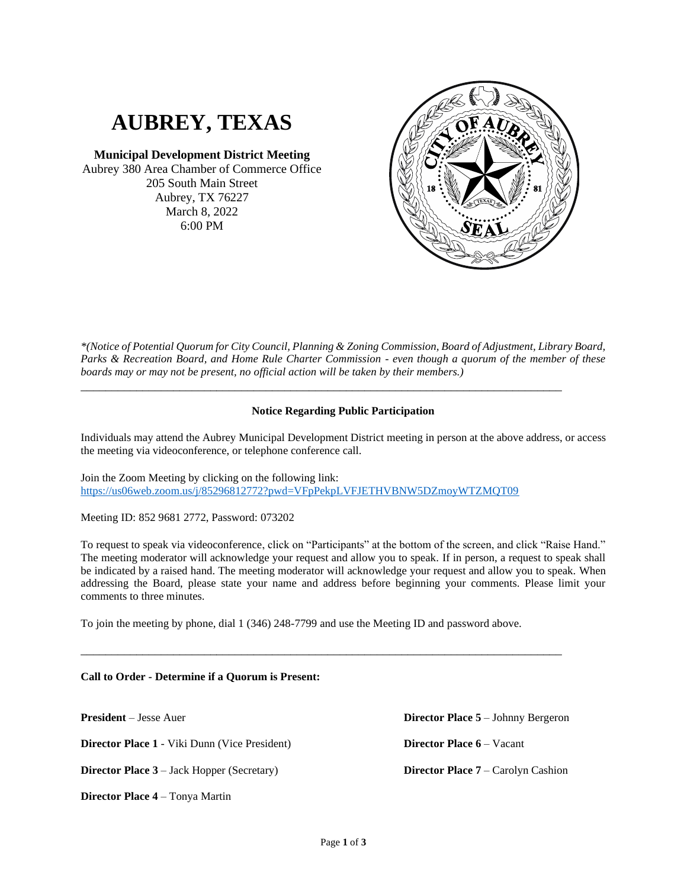# **AUBREY, TEXAS**

**Municipal Development District Meeting** Aubrey 380 Area Chamber of Commerce Office 205 South Main Street Aubrey, TX 76227 March 8, 2022 6:00 PM



*\*(Notice of Potential Quorum for City Council, Planning & Zoning Commission, Board of Adjustment, Library Board, Parks & Recreation Board, and Home Rule Charter Commission - even though a quorum of the member of these boards may or may not be present, no official action will be taken by their members.)*

### **Notice Regarding Public Participation**

\_\_\_\_\_\_\_\_\_\_\_\_\_\_\_\_\_\_\_\_\_\_\_\_\_\_\_\_\_\_\_\_\_\_\_\_\_\_\_\_\_\_\_\_\_\_\_\_\_\_\_\_\_\_\_\_\_\_\_\_\_\_\_\_\_\_\_\_\_\_\_\_\_\_\_\_\_\_

Individuals may attend the Aubrey Municipal Development District meeting in person at the above address, or access the meeting via videoconference, or telephone conference call.

Join the Zoom Meeting by clicking on the following link: <https://us06web.zoom.us/j/85296812772?pwd=VFpPekpLVFJETHVBNW5DZmoyWTZMQT09>

Meeting ID: 852 9681 2772, Password: 073202

To request to speak via videoconference, click on "Participants" at the bottom of the screen, and click "Raise Hand." The meeting moderator will acknowledge your request and allow you to speak. If in person, a request to speak shall be indicated by a raised hand. The meeting moderator will acknowledge your request and allow you to speak. When addressing the Board, please state your name and address before beginning your comments. Please limit your comments to three minutes.

To join the meeting by phone, dial 1 (346) 248-7799 and use the Meeting ID and password above.

\_\_\_\_\_\_\_\_\_\_\_\_\_\_\_\_\_\_\_\_\_\_\_\_\_\_\_\_\_\_\_\_\_\_\_\_\_\_\_\_\_\_\_\_\_\_\_\_\_\_\_\_\_\_\_\_\_\_\_\_\_\_\_\_\_\_\_\_\_\_\_\_\_\_\_\_\_\_

#### **Call to Order - Determine if a Quorum is Present:**

**President** – Jesse Auer

**Director Place 1** - Viki Dunn (Vice President)

**Director Place 3** – Jack Hopper (Secretary)

**Director Place 4** – Tonya Martin

**Director Place 5** – Johnny Bergeron **Director Place 6** – Vacant **Director Place 7** – Carolyn Cashion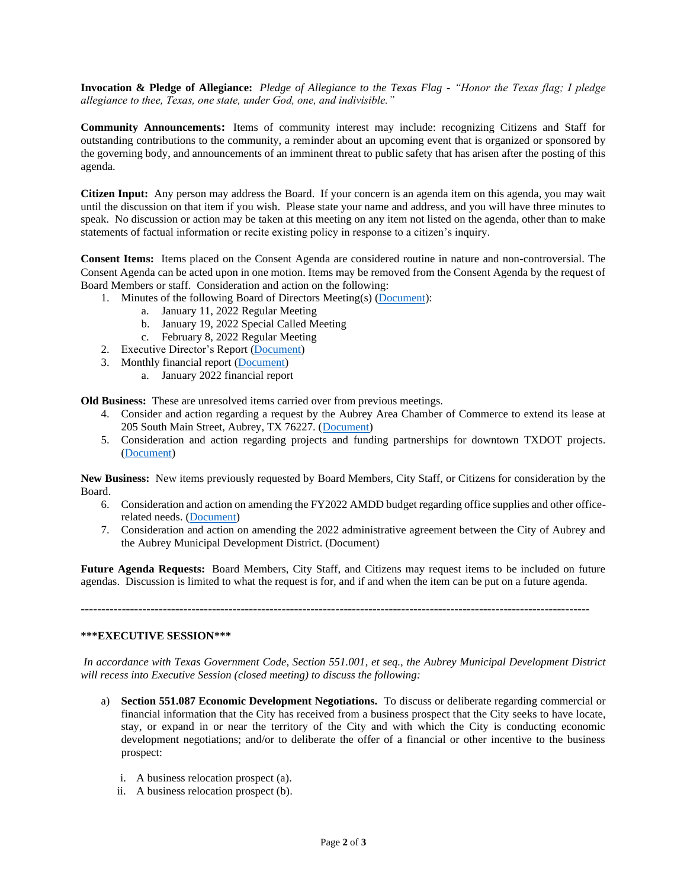**Invocation & Pledge of Allegiance:** *Pledge of Allegiance to the Texas Flag - "Honor the Texas flag; I pledge allegiance to thee, Texas, one state, under God, one, and indivisible."*

**Community Announcements:** Items of community interest may include: recognizing Citizens and Staff for outstanding contributions to the community, a reminder about an upcoming event that is organized or sponsored by the governing body, and announcements of an imminent threat to public safety that has arisen after the posting of this agenda.

**Citizen Input:** Any person may address the Board. If your concern is an agenda item on this agenda, you may wait until the discussion on that item if you wish. Please state your name and address, and you will have three minutes to speak. No discussion or action may be taken at this meeting on any item not listed on the agenda, other than to make statements of factual information or recite existing policy in response to a citizen's inquiry.

**Consent Items:** Items placed on the Consent Agenda are considered routine in nature and non-controversial. The Consent Agenda can be acted upon in one motion. Items may be removed from the Consent Agenda by the request of Board Members or staff. Consideration and action on the following:

- 1. Minutes of the following Board of Directors Meeting(s) [\(Document\)](https://www.dropbox.com/s/lbphyx43yii19e6/2022%2003%2008%20Item%201.pdf?dl=0):
	- a. January 11, 2022 Regular Meeting
	- b. January 19, 2022 Special Called Meeting
	- c. February 8, 2022 Regular Meeting
- 2. Executive Director's Report [\(Document\)](https://www.dropbox.com/s/c5hkgs2zctb993w/2022%2003%2008%20Item%202.pdf?dl=0)
- 3. Monthly financial report [\(Document\)](https://www.dropbox.com/s/25660ppesa8xuba/2022%2003%2008%20Item%203.pdf?dl=0)
	- a. January 2022 financial report

**Old Business:** These are unresolved items carried over from previous meetings.

- 4. Consider and action regarding a request by the Aubrey Area Chamber of Commerce to extend its lease at 205 South Main Street, Aubrey, TX 76227. [\(Document\)](https://www.dropbox.com/s/m4sjjzv6srzg2nq/2022%2003%2008%20Item%204.pdf?dl=0)
- 5. Consideration and action regarding projects and funding partnerships for downtown TXDOT projects. [\(Document\)](https://www.dropbox.com/s/rysgl14icx00w7e/2022%2003%2008%20Item%205.pdf?dl=0)

**New Business:** New items previously requested by Board Members, City Staff, or Citizens for consideration by the Board.

- 6. Consideration and action on amending the FY2022 AMDD budget regarding office supplies and other officerelated needs. [\(Document\)](https://www.dropbox.com/s/eofr2tcd5tbdg9l/2022%2003%2008%20Item%206.pdf?dl=0)
- 7. Consideration and action on amending the 2022 administrative agreement between the City of Aubrey and the Aubrey Municipal Development District. (Document)

**Future Agenda Requests:** Board Members, City Staff, and Citizens may request items to be included on future agendas. Discussion is limited to what the request is for, and if and when the item can be put on a future agenda.

**----------------------------------------------------------------------------------------------------------------------------**

#### **\*\*\*EXECUTIVE SESSION\*\*\***

*In accordance with Texas Government Code, Section 551.001, et seq., the Aubrey Municipal Development District will recess into Executive Session (closed meeting) to discuss the following:*

- a) **Section 551.087 Economic Development Negotiations.** To discuss or deliberate regarding commercial or financial information that the City has received from a business prospect that the City seeks to have locate, stay, or expand in or near the territory of the City and with which the City is conducting economic development negotiations; and/or to deliberate the offer of a financial or other incentive to the business prospect:
	- i. A business relocation prospect (a).
	- ii. A business relocation prospect (b).